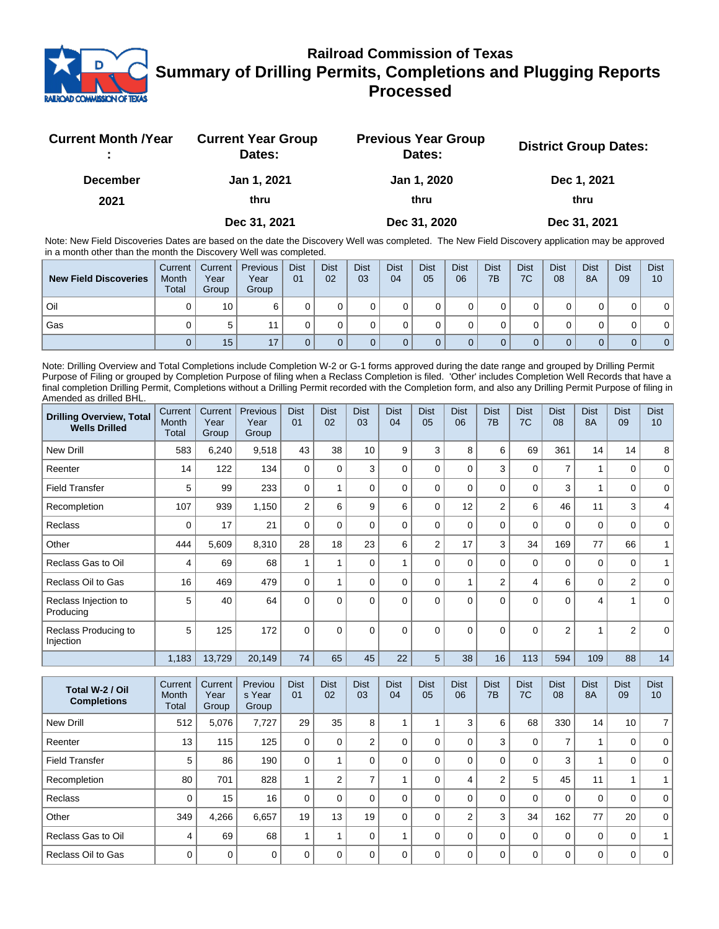

## **Railroad Commission of Texas Summary of Drilling Permits, Completions and Plugging Reports Processed**

| <b>Current Month /Year</b> | <b>Current Year Group</b><br>Dates: | <b>Previous Year Group</b><br>Dates: | <b>District Group Dates:</b> |
|----------------------------|-------------------------------------|--------------------------------------|------------------------------|
| <b>December</b>            | Jan 1, 2021                         | Jan 1, 2020                          | Dec 1, 2021                  |
| 2021                       | thru                                | thru                                 | thru                         |
|                            | Dec 31, 2021                        | Dec 31, 2020                         | Dec 31, 2021                 |

Note: New Field Discoveries Dates are based on the date the Discovery Well was completed. The New Field Discovery application may be approved in a month other than the month the Discovery Well was completed.

| <b>New Field Discoveries</b> | Current<br>Month<br><b>Total</b> | Current I<br>Year<br>Group | <b>Previous</b><br>Year<br>Group | <b>Dist</b><br>01 | <b>Dist</b><br>02 | <b>Dist</b><br>03 | <b>Dist</b><br>04 | <b>Dist</b><br>05 | <b>Dist</b><br>06 | <b>Dist</b><br>7B | <b>Dist</b><br>7C | <b>Dist</b><br>08 | <b>Dist</b><br>8A | <b>Dist</b><br>09 | <b>Dist</b><br>10 |
|------------------------------|----------------------------------|----------------------------|----------------------------------|-------------------|-------------------|-------------------|-------------------|-------------------|-------------------|-------------------|-------------------|-------------------|-------------------|-------------------|-------------------|
| Oil                          |                                  | 10                         |                                  |                   |                   |                   |                   |                   |                   |                   |                   |                   |                   |                   |                   |
| Gas                          |                                  | 5                          |                                  |                   |                   |                   |                   |                   |                   |                   |                   |                   |                   |                   |                   |
|                              |                                  | 15                         | 17                               |                   |                   |                   |                   |                   |                   |                   |                   |                   |                   | 0                 | 0 <sup>1</sup>    |

Note: Drilling Overview and Total Completions include Completion W-2 or G-1 forms approved during the date range and grouped by Drilling Permit Purpose of Filing or grouped by Completion Purpose of filing when a Reclass Completion is filed. 'Other' includes Completion Well Records that have a final completion Drilling Permit, Completions without a Drilling Permit recorded with the Completion form, and also any Drilling Permit Purpose of filing in Amended as drilled BHL.

| <b>Drilling Overview, Total</b><br><b>Wells Drilled</b> | Current<br>Month<br><b>Total</b> | Current<br>Year<br>Group | Previous<br>Year<br>Group | <b>Dist</b><br>01 | <b>Dist</b><br>02 | <b>Dist</b><br>03 | <b>Dist</b><br>04 | <b>Dist</b><br>05 | <b>Dist</b><br>06 | <b>Dist</b><br>7B | <b>Dist</b><br>7C | <b>Dist</b><br>08 | <b>Dist</b><br><b>8A</b> | <b>Dist</b><br>09 | <b>Dist</b><br>10 |
|---------------------------------------------------------|----------------------------------|--------------------------|---------------------------|-------------------|-------------------|-------------------|-------------------|-------------------|-------------------|-------------------|-------------------|-------------------|--------------------------|-------------------|-------------------|
| <b>New Drill</b>                                        | 583                              | 6,240                    | 9,518                     | 43                | 38                | 10 <sup>1</sup>   | 9                 | 3                 | 8                 | 6                 | 69                | 361               | 14                       | 14                | 8                 |
| Reenter                                                 | 14                               | 122                      | 134                       | $\Omega$          | $\Omega$          | 3                 | $\Omega$          | $\Omega$          | $\Omega$          | 3                 | $\mathbf 0$       | $\overline{7}$    | 1                        | 0                 | $\mathbf 0$       |
| <b>Field Transfer</b>                                   | 5                                | 99                       | 233                       | $\mathbf 0$       |                   | 0                 | $\Omega$          | $\Omega$          | 0                 | 0                 | $\mathbf 0$       | 3                 | 4                        | 0                 | $\mathbf 0$       |
| Recompletion                                            | 107                              | 939                      | 1,150                     | $\overline{2}$    | 6                 | 9                 | 6                 | $\Omega$          | 12                | $\overline{2}$    | 6                 | 46                | 11                       | 3                 | 4                 |
| Reclass                                                 | 0                                | 17                       | 21                        | $\Omega$          | $\Omega$          | 0                 | $\Omega$          | $\Omega$          | 0                 | 0                 | $\mathbf 0$       | 0                 | 0                        | 0                 | 0                 |
| Other                                                   | 444                              | 5,609                    | 8,310                     | 28                | 18                | 23                | 6                 | $\overline{2}$    | 17                | 3                 | 34                | 169               | 77                       | 66                |                   |
| Reclass Gas to Oil                                      | 4                                | 69                       | 68                        |                   |                   | 0                 |                   | $\Omega$          | $\Omega$          | 0                 | $\mathbf 0$       | $\mathbf 0$       | $\mathbf 0$              | $\mathbf 0$       |                   |
| Reclass Oil to Gas                                      | 16                               | 469                      | 479                       | $\Omega$          |                   | 0                 | $\Omega$          | $\Omega$          |                   | $\overline{2}$    | 4                 | 6                 | 0                        | $\overline{2}$    | 0                 |
| Reclass Injection to<br>Producing                       | 5                                | 40                       | 64                        | $\Omega$          | $\Omega$          | $\Omega$          | $\Omega$          | $\Omega$          | $\Omega$          | $\Omega$          | $\Omega$          | $\Omega$          | 4                        |                   | $\Omega$          |
| Reclass Producing to<br>Injection                       | 5                                | 125                      | 172                       | $\Omega$          | $\Omega$          | $\Omega$          | $\Omega$          | $\Omega$          | $\Omega$          | $\Omega$          | $\Omega$          | $\overline{2}$    | 4                        | $\overline{2}$    | $\Omega$          |
|                                                         | 1,183                            | 13,729                   | 20,149                    | 74                | 65                | 45                | 22                | 5                 | 38                | 16                | 113               | 594               | 109                      | 88                | 14                |

| Total W-2 / Oil<br><b>Completions</b> | Current<br>Month<br>Total | Current<br>Year<br>Group | Previou<br>s Year<br>Group | <b>Dist</b><br>01 | <b>Dist</b><br>02 | <b>Dist</b><br>03 | <b>Dist</b><br>04 | <b>Dist</b><br>05 | <b>Dist</b><br>06 | <b>Dist</b><br>7B | <b>Dist</b><br>7C | <b>Dist</b><br>08 | <b>Dist</b><br><b>8A</b> | <b>Dist</b><br>09 | <b>Dist</b><br>10 |
|---------------------------------------|---------------------------|--------------------------|----------------------------|-------------------|-------------------|-------------------|-------------------|-------------------|-------------------|-------------------|-------------------|-------------------|--------------------------|-------------------|-------------------|
| New Drill                             | 512                       | 5,076                    | 7,727                      | 29                | 35                | 8                 |                   |                   | 3                 | 6                 | 68                | 330               | 14                       | 10                | 7 <sup>1</sup>    |
| Reenter                               | 13                        | 115                      | 125                        | $\Omega$          | $\Omega$          | 2                 |                   | $\Omega$          | $\Omega$          | 3                 | 0                 | 7                 |                          | 0                 | $\Omega$          |
| <b>Field Transfer</b>                 | 5                         | 86                       | 190                        | $\mathbf{0}$      |                   |                   |                   | $\Omega$          | $\Omega$          | $\mathbf 0$       | 0                 | 3                 |                          | 0                 | $\Omega$          |
| Recompletion                          | 80                        | 701                      | 828                        |                   | $\overline{2}$    |                   |                   | $\Omega$          | 4                 | $\overline{2}$    | 5                 | 45                | 11                       |                   |                   |
| <b>Reclass</b>                        | $\Omega$                  | 15                       | 16                         | $\Omega$          | $\Omega$          |                   |                   | $\Omega$          | $\Omega$          | 0                 | $\Omega$          | 0                 | 0                        | 0                 | $\Omega$          |
| Other                                 | 349                       | 4,266                    | 6.657                      | 19                | 13                | 19                |                   | $\Omega$          | $\overline{2}$    | 3                 | 34                | 162               | 77                       | 20                | $\Omega$          |
| Reclass Gas to Oil                    | 4                         | 69                       | 68                         |                   |                   | 0                 |                   | $\Omega$          | $\Omega$          | $\Omega$          | 0                 | $\mathbf 0$       | 0                        | 0                 |                   |
| Reclass Oil to Gas                    | $\Omega$                  | $\mathbf 0$              | 0                          | $\Omega$          | $\Omega$          | O                 |                   | $\Omega$          | $\Omega$          | $\Omega$          | $\Omega$          | $\mathbf 0$       | 0                        | 0                 | $\mathbf 0$       |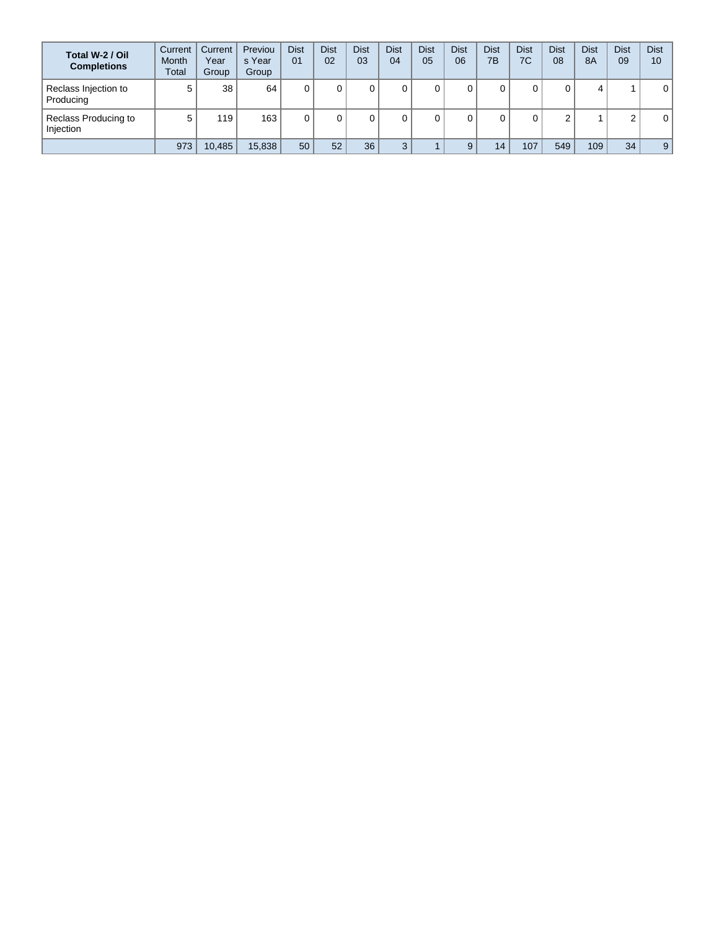| Total W-2 / Oil<br><b>Completions</b> | Current<br><b>Month</b><br>Total | Current<br>Year<br>Group | Previou<br>s Year<br>Group | <b>Dist</b><br>01 | <b>Dist</b><br>02 | <b>Dist</b><br>03 | Dist<br>04 | <b>Dist</b><br>05 | <b>Dist</b><br>06 | <b>Dist</b><br>7B | <b>Dist</b><br>7C | Dist<br>08  | <b>Dist</b><br><b>8A</b> | <b>Dist</b><br>09 | <b>Dist</b><br>10 |
|---------------------------------------|----------------------------------|--------------------------|----------------------------|-------------------|-------------------|-------------------|------------|-------------------|-------------------|-------------------|-------------------|-------------|--------------------------|-------------------|-------------------|
| Reclass Injection to<br>Producing     | 5                                | 38                       | 64                         |                   |                   |                   | 0          |                   |                   |                   |                   | 0           | 4                        |                   | 0                 |
| Reclass Producing to<br>Injection     | 5                                | 119                      | 163                        |                   |                   |                   |            |                   |                   |                   |                   | $\sim$<br>۷ |                          | $\sim$            | 0                 |
|                                       | 973                              | 10,485                   | 15,838                     | 50                | 52                | 36                | 3          |                   |                   | 14                | 107               | 549         | 109 <sub>1</sub>         | 34                | 9                 |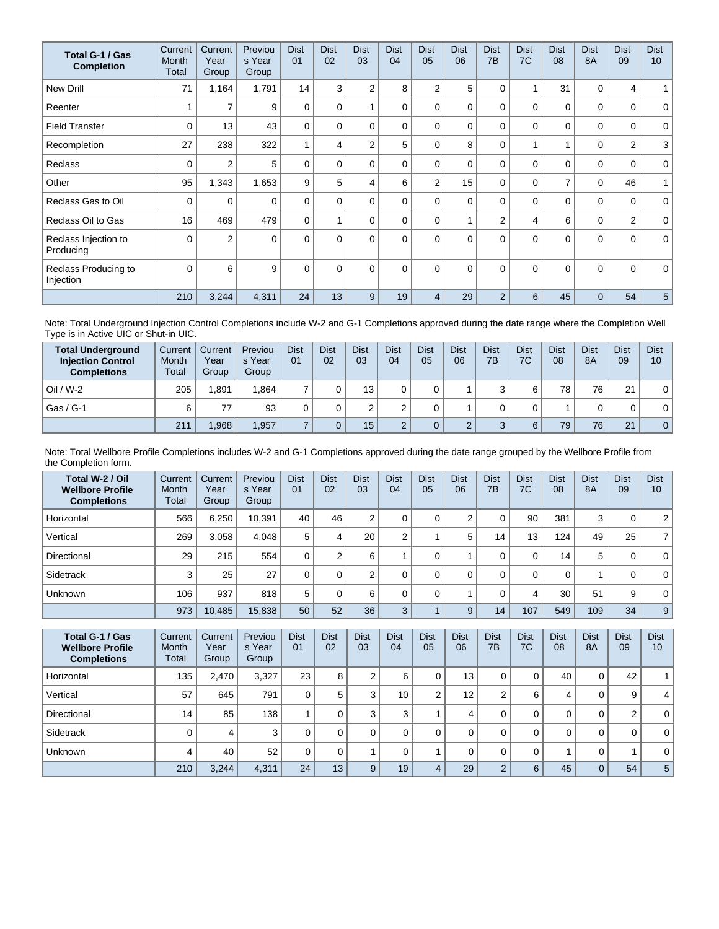| Total G-1 / Gas<br><b>Completion</b> | Current<br>Month<br>Total | Current<br>Year<br>Group | Previou<br>s Year<br>Group | <b>Dist</b><br>01        | <b>Dist</b><br>02 | <b>Dist</b><br>03 | <b>Dist</b><br>04 | <b>Dist</b><br>05 | <b>Dist</b><br>06 | <b>Dist</b><br>7B | <b>Dist</b><br>7C | <b>Dist</b><br>08 | <b>Dist</b><br><b>8A</b> | <b>Dist</b><br>09 | <b>Dist</b><br>10 <sup>1</sup> |
|--------------------------------------|---------------------------|--------------------------|----------------------------|--------------------------|-------------------|-------------------|-------------------|-------------------|-------------------|-------------------|-------------------|-------------------|--------------------------|-------------------|--------------------------------|
| <b>New Drill</b>                     | 71                        | 1,164                    | 1,791                      | 14                       | 3                 | $\overline{2}$    | 8                 | $\overline{2}$    | 5                 | $\Omega$          | 1                 | 31                | 0                        | 4                 | 1                              |
| Reenter                              |                           | $\overline{7}$           | 9                          | 0                        | $\mathbf{0}$      |                   | 0                 | $\Omega$          | $\Omega$          | $\Omega$          | $\Omega$          | 0                 | $\Omega$                 | 0                 | $\mathbf 0$                    |
| <b>Field Transfer</b>                | $\Omega$                  | 13                       | 43                         | $\Omega$                 | $\mathbf{0}$      | $\Omega$          | 0                 | $\Omega$          | $\Omega$          | $\Omega$          | $\mathbf 0$       | 0                 | $\Omega$                 | 0                 | $\mathbf 0$                    |
| Recompletion                         | 27                        | 238                      | 322                        | $\overline{\phantom{a}}$ | 4                 | $\overline{2}$    | 5                 | $\Omega$          | 8                 | $\Omega$          | 1                 |                   | $\Omega$                 | $\overline{2}$    | 3                              |
| <b>Reclass</b>                       | $\Omega$                  | $\overline{2}$           | 5                          | 0                        | $\Omega$          | $\Omega$          | 0                 | $\Omega$          | $\Omega$          | $\Omega$          | $\Omega$          | $\mathbf{0}$      | $\Omega$                 | 0                 | $\mathbf 0$                    |
| Other                                | 95                        | 1,343                    | 1,653                      | 9                        | 5                 | 4                 | 6                 | $\overline{2}$    | 15                | 0                 | $\mathbf 0$       | $\overline{7}$    | $\mathbf 0$              | 46                | 1                              |
| Reclass Gas to Oil                   | 0                         | 0                        | 0                          | 0                        | 0                 | $\Omega$          | 0                 | $\Omega$          | $\Omega$          | $\Omega$          | $\mathbf 0$       | 0                 | $\Omega$                 | 0                 | $\mathbf{0}$                   |
| Reclass Oil to Gas                   | 16                        | 469                      | 479                        | 0                        |                   | $\Omega$          | 0                 | $\Omega$          |                   | $\overline{2}$    | 4                 | 6                 | $\mathbf 0$              | $\overline{2}$    | $\mathbf 0$                    |
| Reclass Injection to<br>Producing    | $\Omega$                  | $\overline{2}$           | $\Omega$                   | $\Omega$                 | $\Omega$          | $\Omega$          | $\Omega$          | $\Omega$          | $\Omega$          | $\Omega$          | $\Omega$          | $\mathbf{0}$      | $\Omega$                 | $\Omega$          | $\mathbf{0}$                   |
| Reclass Producing to<br>Injection    | $\Omega$                  | 6                        | 9                          | 0                        | $\Omega$          | $\Omega$          | $\Omega$          | $\Omega$          | $\Omega$          | $\Omega$          | $\Omega$          | $\Omega$          | $\Omega$                 | $\Omega$          | $\mathbf 0$                    |
|                                      | 210                       | 3,244                    | 4,311                      | 24                       | 13                | 9                 | 19                | 4                 | 29                | $\overline{2}$    | 6                 | 45                | $\Omega$                 | 54                | 5                              |

Note: Total Underground Injection Control Completions include W-2 and G-1 Completions approved during the date range where the Completion Well Type is in Active UIC or Shut-in UIC.

| <b>Total Underground</b><br><b>Injection Control</b><br><b>Completions</b> | Current<br>Month<br>Total | Current<br>Year<br>Group | Previou<br>s Year<br>Group | <b>Dist</b><br>01 | <b>Dist</b><br>02 | <b>Dist</b><br>03 | <b>Dist</b><br>04 | <b>Dist</b><br>05 | Dist<br>06 | <b>Dist</b><br>7B | <b>Dist</b><br>7C | <b>Dist</b><br>08 | <b>Dist</b><br><b>8A</b> | <b>Dist</b><br>09 | <b>Dist</b><br>10 |
|----------------------------------------------------------------------------|---------------------------|--------------------------|----------------------------|-------------------|-------------------|-------------------|-------------------|-------------------|------------|-------------------|-------------------|-------------------|--------------------------|-------------------|-------------------|
| $Oil / W-2$                                                                | 205                       | .891                     | 1.864                      |                   |                   | 13.               |                   |                   |            | ົ                 | 6                 | 78                | 76.                      | 21                | 0                 |
| Gas / G-1                                                                  |                           | 77                       | 93                         |                   |                   |                   |                   |                   |            |                   |                   |                   | 0                        |                   | 0                 |
|                                                                            | 211                       | .968                     | 1,957                      |                   |                   | 15                |                   |                   | $\sqrt{2}$ | $\Omega$          | 6                 | 79                | 76                       | 21                | $\overline{0}$    |

Note: Total Wellbore Profile Completions includes W-2 and G-1 Completions approved during the date range grouped by the Wellbore Profile from the Completion form.

| Total W-2 / Oil<br><b>Wellbore Profile</b><br><b>Completions</b> | Current<br>Month<br>Total | Current<br>Year<br>Group | Previou<br>s Year<br>Group | <b>Dist</b><br>01 | <b>Dist</b><br>02 | <b>Dist</b><br>03 | <b>Dist</b><br>04 | <b>Dist</b><br>05 | <b>Dist</b><br>06 | <b>Dist</b><br>7 <sub>B</sub> | <b>Dist</b><br>7C | <b>Dist</b><br>08 | <b>Dist</b><br><b>8A</b> | <b>Dist</b><br>09 | <b>Dist</b><br>10 |
|------------------------------------------------------------------|---------------------------|--------------------------|----------------------------|-------------------|-------------------|-------------------|-------------------|-------------------|-------------------|-------------------------------|-------------------|-------------------|--------------------------|-------------------|-------------------|
| Horizontal                                                       | 566                       | 6,250                    | 10,391                     | 40                | 46                | C                 |                   |                   | $\sim$            | 0                             | 90                | 381               | 3                        | 0                 | 2                 |
| Vertical                                                         | 269                       | 3,058                    | 4.048                      | 5                 |                   | 20                | C                 |                   | 5                 | 14                            | 13                | 124               | 49                       | 25                | $\overline{7}$    |
| Directional                                                      | 29                        | 215                      | 554                        | 0                 | ◠                 | 6                 |                   |                   |                   | 0                             | 0                 | 14                | 5                        | 0                 | $\mathbf 0$       |
| Sidetrack                                                        | 3                         | 25                       | 27                         |                   | 0                 | C                 | 0                 |                   | $\Omega$          | 0                             | 0                 | 0                 |                          | 0                 | $\mathbf 0$       |
| Unknown                                                          | 106                       | 937                      | 818                        | 5                 |                   | 6                 |                   |                   |                   | 0                             | 4                 | 30                | 51                       | 9                 | $\mathbf 0$       |
|                                                                  | 973                       | 10,485                   | 15,838                     | 50                | 52                | 36                | 3                 |                   | 9                 | 14                            | 107               | 549               | 109                      | 34                | 9                 |

| Total G-1 / Gas<br><b>Wellbore Profile</b><br><b>Completions</b> | Current<br><b>Month</b><br>Total | Current<br>Year<br>Group | Previou<br>s Year<br>Group | <b>Dist</b><br>01 | <b>Dist</b><br>02 | <b>Dist</b><br>03 | <b>Dist</b><br>04 | <b>Dist</b><br>05 | <b>Dist</b><br>06 | <b>Dist</b><br>7B | <b>Dist</b><br>7C | <b>Dist</b><br>08 | <b>Dist</b><br>8A | <b>Dist</b><br>09 | <b>Dist</b><br>10 |
|------------------------------------------------------------------|----------------------------------|--------------------------|----------------------------|-------------------|-------------------|-------------------|-------------------|-------------------|-------------------|-------------------|-------------------|-------------------|-------------------|-------------------|-------------------|
| Horizontal                                                       | 135                              | 2.470                    | 3,327                      | 23                | 8                 | ◠<br>$\epsilon$   | 6                 |                   | 13                | 0                 | 0                 | 40                | 0                 | 42                | ٠                 |
| Vertical                                                         | 57                               | 645                      | 791                        | 0                 | 5                 | 3                 | 10                | ⌒                 | 12                | 2                 | 6                 | 4                 | 0                 | 9                 | 4                 |
| Directional                                                      | 14                               | 85                       | 138                        |                   |                   | 3                 |                   |                   | 4                 | 0                 | 0                 | 0                 | 0                 | 2                 | 0 <sup>1</sup>    |
| Sidetrack                                                        |                                  | 4                        | 3                          | 0                 |                   | $\Omega$          |                   |                   |                   | 0                 | 0                 | 0                 | 0                 | 0                 | 0 <sup>1</sup>    |
| <b>Unknown</b>                                                   | 4                                | 40                       | 52                         | 0                 |                   |                   |                   |                   |                   | 0                 | 0                 |                   | $\Omega$          |                   | 0 <sup>1</sup>    |
|                                                                  | 210                              | 3,244                    | 4,311                      | 24                | 13                | 9                 | 19                | 4                 | 29                | $\overline{2}$    | 6                 | 45                | $\overline{0}$    | 54                | 5 <sup>1</sup>    |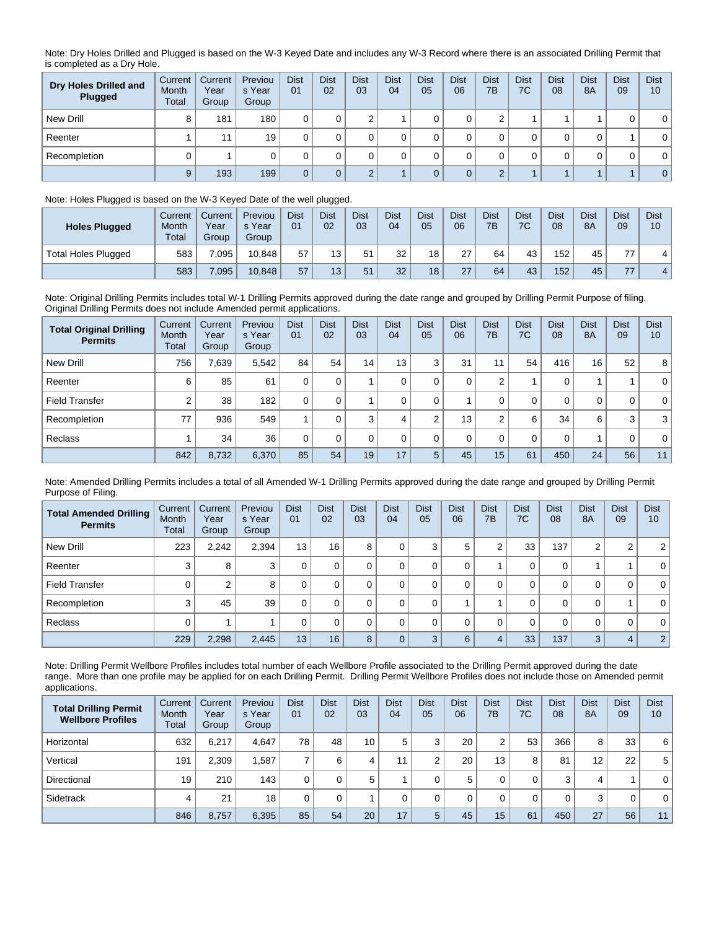Note: Dry Holes Drilled and Plugged is based on the W-3 Keyed Date and includes any W-3 Record where there is an associated Drilling Permit that is completed as a Dry Hole.

| Dry Holes Drilled and<br>Plugged | Current<br>Month<br>Total | Current<br>Year<br>Group | Previou<br>s Year<br>Group | <b>Dist</b><br>01 | <b>Dist</b><br>02 | <b>Dist</b><br>03 | <b>Dist</b><br>04 | <b>Dist</b><br>05 | <b>Dist</b><br>06 | <b>Dist</b><br>7B | <b>Dist</b><br>7C | <b>Dist</b><br>08 | <b>Dist</b><br>8A | <b>Dist</b><br>09 | <b>Dist</b><br>10 |
|----------------------------------|---------------------------|--------------------------|----------------------------|-------------------|-------------------|-------------------|-------------------|-------------------|-------------------|-------------------|-------------------|-------------------|-------------------|-------------------|-------------------|
| New Drill                        | 8                         | 181                      | 180                        |                   |                   | $\sim$            |                   |                   |                   | $\sim$            |                   |                   |                   |                   | $\mathbf{0}$      |
| Reenter                          |                           | 11                       | 19                         |                   |                   |                   |                   |                   |                   |                   |                   |                   |                   |                   | 0                 |
| Recompletion                     |                           |                          |                            |                   |                   |                   |                   |                   |                   |                   |                   |                   |                   |                   | $\mathbf{0}$      |
|                                  | 9                         | 193                      | 199                        | $\Omega$          |                   |                   |                   |                   |                   | $\sqrt{2}$        |                   |                   |                   |                   | $\overline{0}$    |

## Note: Holes Plugged is based on the W-3 Keyed Date of the well plugged.

| <b>Holes Plugged</b>       | Current<br>Month<br><b>Total</b> | Current<br>Year<br>Group | Previou<br>s Year<br>Group | <b>Dist</b><br>01 | <b>Dist</b><br>02 | <b>Dist</b><br>03 | Dist<br>04 | <b>Dist</b><br>05 | <b>Dist</b><br>06 | <b>Dist</b><br>7B | <b>Dist</b><br>7C | <b>Dist</b><br>08 | <b>Dist</b><br><b>8A</b> | <b>Dist</b><br>09 | <b>Dist</b><br>10 |
|----------------------------|----------------------------------|--------------------------|----------------------------|-------------------|-------------------|-------------------|------------|-------------------|-------------------|-------------------|-------------------|-------------------|--------------------------|-------------------|-------------------|
| <b>Total Holes Plugged</b> | 583                              | .095                     | 10.848                     | 57                | 13 <sub>1</sub>   | 51                | 32         | 18                | 27                | 64                | 43                | 152               | 45                       | --                | 4.                |
|                            | 583                              | .095                     | 10.848                     | 57                | 13 <sub>1</sub>   | 51                | 32         | 18                | 27                | 64                | 43                | 152               | 45                       | 77                | 4.                |

Note: Original Drilling Permits includes total W-1 Drilling Permits approved during the date range and grouped by Drilling Permit Purpose of filing. Original Drilling Permits does not include Amended permit applications.

| <b>Total Original Drilling</b><br><b>Permits</b> | Current<br>Month<br>Total | Current<br>Year<br>Group | Previou<br>s Year<br>Group | <b>Dist</b><br>01 | <b>Dist</b><br>02 | <b>Dist</b><br>03 | <b>Dist</b><br>04 | <b>Dist</b><br>05 | <b>Dist</b><br>06 | <b>Dist</b><br>7B | <b>Dist</b><br>7C | <b>Dist</b><br>08 | <b>Dist</b><br><b>8A</b> | <b>Dist</b><br>09 | <b>Dist</b><br>10 |
|--------------------------------------------------|---------------------------|--------------------------|----------------------------|-------------------|-------------------|-------------------|-------------------|-------------------|-------------------|-------------------|-------------------|-------------------|--------------------------|-------------------|-------------------|
| New Drill                                        | 756                       | 7,639                    | 5.542                      | 84                | 54                | 14                | 13                | 3                 | 31                | 11                | 54                | 416               | 16                       | 52                | 8 <sup>1</sup>    |
| Reenter                                          | 6                         | 85                       | 61                         |                   | $\Omega$          |                   | 0                 |                   | 0                 | 2                 |                   | 0                 |                          |                   | $\overline{0}$    |
| <b>Field Transfer</b>                            | ◠                         | 38                       | 182                        | 0                 | 0                 |                   |                   |                   |                   | 0                 | 0                 | 0                 | 0                        | 0                 | $\overline{0}$    |
| Recompletion                                     | 77                        | 936                      | 549                        |                   | $\Omega$          | 3                 | 4                 | $\Omega$          | 13                | $\overline{2}$    | 6                 | 34                | 6                        | 3                 | 3 <sup>1</sup>    |
| Reclass                                          |                           | 34                       | 36                         | $\Omega$          | 0                 |                   | $\Omega$          |                   | $\Omega$          | 0                 | 0                 | 0                 |                          | 0                 | $\overline{0}$    |
|                                                  | 842                       | 8,732                    | 6,370                      | 85                | 54                | 19                | 17                | 5                 | 45                | 15                | 61                | 450               | 24                       | 56                | 11                |

Note: Amended Drilling Permits includes a total of all Amended W-1 Drilling Permits approved during the date range and grouped by Drilling Permit Purpose of Filing.

| <b>Total Amended Drilling</b><br><b>Permits</b> | Current<br><b>Month</b><br>Total | Current<br>Year<br>Group | Previou<br>s Year<br>Group | <b>Dist</b><br>01 | <b>Dist</b><br>02 | <b>Dist</b><br>03 | <b>Dist</b><br>04 | <b>Dist</b><br>05 | <b>Dist</b><br>06 | <b>Dist</b><br>7B | <b>Dist</b><br>7C | <b>Dist</b><br>08 | <b>Dist</b><br><b>8A</b> | <b>Dist</b><br>09 | <b>Dist</b><br>10 |
|-------------------------------------------------|----------------------------------|--------------------------|----------------------------|-------------------|-------------------|-------------------|-------------------|-------------------|-------------------|-------------------|-------------------|-------------------|--------------------------|-------------------|-------------------|
| New Drill                                       | 223                              | 2,242                    | 2,394                      | 13 <sub>1</sub>   | 16                | 8                 |                   | 3                 | 5                 | 2                 | 33                | 137               | 2                        | 2                 | 2 <sup>1</sup>    |
| Reenter                                         | 3                                | 8                        | 3                          | 0                 |                   | 0                 |                   | $\mathbf 0$       | 0                 |                   | 0                 | 0                 |                          |                   | 0 <sup>1</sup>    |
| <b>Field Transfer</b>                           |                                  | 2                        | 8                          | 0                 |                   |                   |                   | 0                 | 0                 | 0                 | 0                 | 0                 | 0                        | 0                 | 0 <sup>1</sup>    |
| Recompletion                                    | ◠                                | 45                       | 39                         | 0                 |                   |                   |                   | 0                 |                   |                   | 0                 | 0                 | 0                        |                   | 0 <sup>1</sup>    |
| Reclass                                         |                                  |                          |                            | 0                 |                   | $\Omega$          |                   | $\Omega$          | 0                 | 0                 | 0                 | $\mathbf 0$       | 0                        | 0                 | 0 <sup>1</sup>    |
|                                                 | 229                              | 2,298                    | 2,445                      | 13                | 16                | 8                 |                   | 3                 | 6                 | 4                 | 33                | 137               | 3                        | 4                 | 2 <sup>1</sup>    |

Note: Drilling Permit Wellbore Profiles includes total number of each Wellbore Profile associated to the Drilling Permit approved during the date range. More than one profile may be applied for on each Drilling Permit. Drilling Permit Wellbore Profiles does not include those on Amended permit applications.

| <b>Total Drilling Permit</b><br><b>Wellbore Profiles</b> | Current<br>Month<br>Total | Current<br>Year<br>Group | Previou<br>s Year<br>Group | <b>Dist</b><br>01 | <b>Dist</b><br>02 | <b>Dist</b><br>03 | <b>Dist</b><br>04 | <b>Dist</b><br>05 | <b>Dist</b><br>06 | <b>Dist</b><br>7B | <b>Dist</b><br>7C | <b>Dist</b><br>08 | <b>Dist</b><br>8A | <b>Dist</b><br>09 | <b>Dist</b><br>10 |
|----------------------------------------------------------|---------------------------|--------------------------|----------------------------|-------------------|-------------------|-------------------|-------------------|-------------------|-------------------|-------------------|-------------------|-------------------|-------------------|-------------------|-------------------|
| Horizontal                                               | 632                       | 6.217                    | 4.647                      | 78                | 48                | 10                | 5                 | ົ                 | 20                | 2                 | 53                | 366               | 8                 | 33                | 6                 |
| Vertical                                                 | 191                       | 2,309                    | .587                       |                   | 6                 | 4                 |                   | $\sqrt{2}$        | 20                | 13                | 8                 | 81                | $12 \overline{ }$ | 22                | 5                 |
| Directional                                              | 19                        | 210                      | 143                        | 0                 |                   | 5                 |                   |                   | 5                 | 0                 | 0                 | 3                 | 4                 |                   | $\mathbf{0}$      |
| Sidetrack                                                | 4                         | 21                       | 18                         |                   |                   |                   |                   |                   |                   |                   | 0                 | $\Omega$          | 3                 | 0                 | $\mathbf{0}$      |
|                                                          | 846                       | 8,757                    | 6,395                      | 85                | 54                | 20                | 17                | 5                 | 45                | 15                | 61                | 450               | 27                | 56                | 11                |